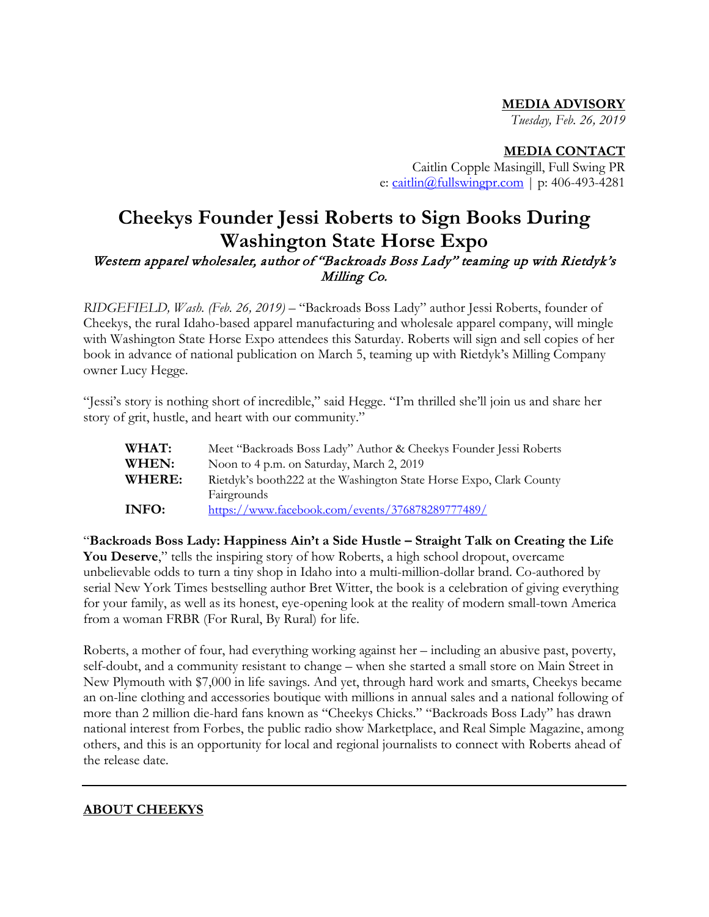#### **MEDIA ADVISORY**

*Tuesday, Feb. 26, 2019*

#### **MEDIA CONTACT**

Caitlin Copple Masingill, Full Swing PR e:  $\frac{caitlin(\omega)}{tullswingpr.com}$  | p: 406-493-4281

#### **Cheekys Founder Jessi Roberts to Sign Books During Washington State Horse Expo** Western apparel wholesaler, author of "Backroads Boss Lady" teaming up with Rietdyk's Milling Co.

*RIDGEFIELD, Wash. (Feb. 26, 2019)* – "Backroads Boss Lady" author Jessi Roberts, founder of Cheekys, the rural Idaho-based apparel manufacturing and wholesale apparel company, will mingle with Washington State Horse Expo attendees this Saturday. Roberts will sign and sell copies of her book in advance of national publication on March 5, teaming up with Rietdyk's Milling Company owner Lucy Hegge.

"Jessi's story is nothing short of incredible," said Hegge. "I'm thrilled she'll join us and share her story of grit, hustle, and heart with our community."

| WHAT:  | Meet "Backroads Boss Lady" Author & Cheekys Founder Jessi Roberts   |
|--------|---------------------------------------------------------------------|
| WHEN:  | Noon to 4 p.m. on Saturday, March 2, 2019                           |
| WHERE: | Rietdyk's booth222 at the Washington State Horse Expo, Clark County |
|        | Fairgrounds                                                         |
| INFO:  | https://www.facebook.com/events/376878289777489/                    |

"**Backroads Boss Lady: Happiness Ain't a Side Hustle – Straight Talk on Creating the Life You Deserve**," tells the inspiring story of how Roberts, a high school dropout, overcame unbelievable odds to turn a tiny shop in Idaho into a multi-million-dollar brand. Co-authored by serial New York Times bestselling author Bret Witter, the book is a celebration of giving everything for your family, as well as its honest, eye-opening look at the reality of modern small-town America from a woman FRBR (For Rural, By Rural) for life.

Roberts, a mother of four, had everything working against her – including an abusive past, poverty, self-doubt, and a community resistant to change – when she started a small store on Main Street in New Plymouth with \$7,000 in life savings. And yet, through hard work and smarts, Cheekys became an on-line clothing and accessories boutique with millions in annual sales and a national following of more than 2 million die-hard fans known as "Cheekys Chicks." "Backroads Boss Lady" has drawn national interest from Forbes, the public radio show Marketplace, and Real Simple Magazine, among others, and this is an opportunity for local and regional journalists to connect with Roberts ahead of the release date.

#### **ABOUT CHEEKYS**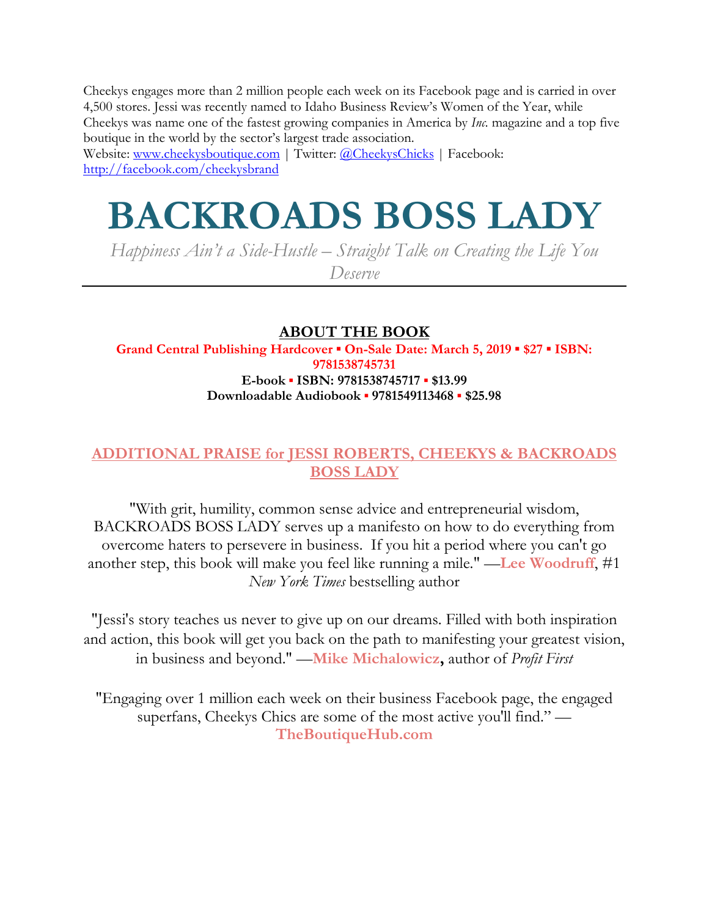Cheekys engages more than 2 million people each week on its Facebook page and is carried in over 4,500 stores. Jessi was recently named to Idaho Business Review's Women of the Year, while Cheekys was name one of the fastest growing companies in America by *Inc.* magazine and a top five boutique in the world by the sector's largest trade association.

Website: [www.cheekysboutique.com](http://pubtracker.hbgusa.com/pubtrack/www.cheekysboutique.com) | Twitter: [@CheekysChicks](http://www.twitter.com/CheekysChicks) | Facebook: <http://facebook.com/cheekysbrand>

# **BACKROADS BOSS LADY**

*Happiness Ain't a Side-Hustle – Straight Talk on Creating the Life You Deserve*

#### **ABOUT THE BOOK**

**Grand Central Publishing Hardcover ▪ On-Sale Date: March 5, 2019 ▪ \$27 ▪ ISBN: 9781538745731 E-book ▪ ISBN: 9781538745717 ▪ \$13.99 Downloadable Audiobook ▪ 9781549113468 ▪ \$25.98**

#### **ADDITIONAL PRAISE for JESSI ROBERTS, CHEEKYS & BACKROADS BOSS LADY**

"With grit, humility, common sense advice and entrepreneurial wisdom, BACKROADS BOSS LADY serves up a manifesto on how to do everything from overcome haters to persevere in business. If you hit a period where you can't go another step, this book will make you feel like running a mile." —**Lee Woodruff**, #1 *New York Times* bestselling author

"Jessi's story teaches us never to give up on our dreams. Filled with both inspiration and action, this book will get you back on the path to manifesting your greatest vision, in business and beyond." —**Mike Michalowicz,** author of *Profit First*

"Engaging over 1 million each week on their business Facebook page, the engaged superfans, Cheekys Chics are some of the most active you'll find." — **TheBoutiqueHub.com**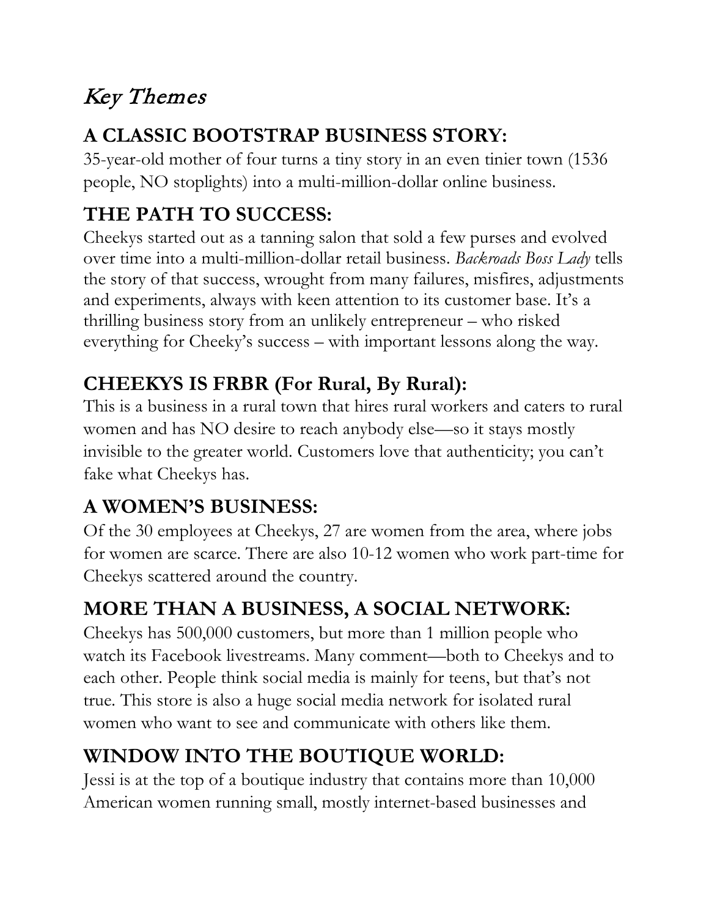# Key Themes

## **A CLASSIC BOOTSTRAP BUSINESS STORY:**

35-year-old mother of four turns a tiny story in an even tinier town (1536 people, NO stoplights) into a multi-million-dollar online business.

## **THE PATH TO SUCCESS:**

Cheekys started out as a tanning salon that sold a few purses and evolved over time into a multi-million-dollar retail business. *Backroads Boss Lady* tells the story of that success, wrought from many failures, misfires, adjustments and experiments, always with keen attention to its customer base. It's a thrilling business story from an unlikely entrepreneur – who risked everything for Cheeky's success – with important lessons along the way.

#### **CHEEKYS IS FRBR (For Rural, By Rural):**

This is a business in a rural town that hires rural workers and caters to rural women and has NO desire to reach anybody else—so it stays mostly invisible to the greater world. Customers love that authenticity; you can't fake what Cheekys has.

## **A WOMEN'S BUSINESS:**

Of the 30 employees at Cheekys, 27 are women from the area, where jobs for women are scarce. There are also 10-12 women who work part-time for Cheekys scattered around the country.

## **MORE THAN A BUSINESS, A SOCIAL NETWORK:**

Cheekys has 500,000 customers, but more than 1 million people who watch its Facebook livestreams. Many comment—both to Cheekys and to each other. People think social media is mainly for teens, but that's not true. This store is also a huge social media network for isolated rural women who want to see and communicate with others like them.

## **WINDOW INTO THE BOUTIQUE WORLD:**

Jessi is at the top of a boutique industry that contains more than 10,000 American women running small, mostly internet-based businesses and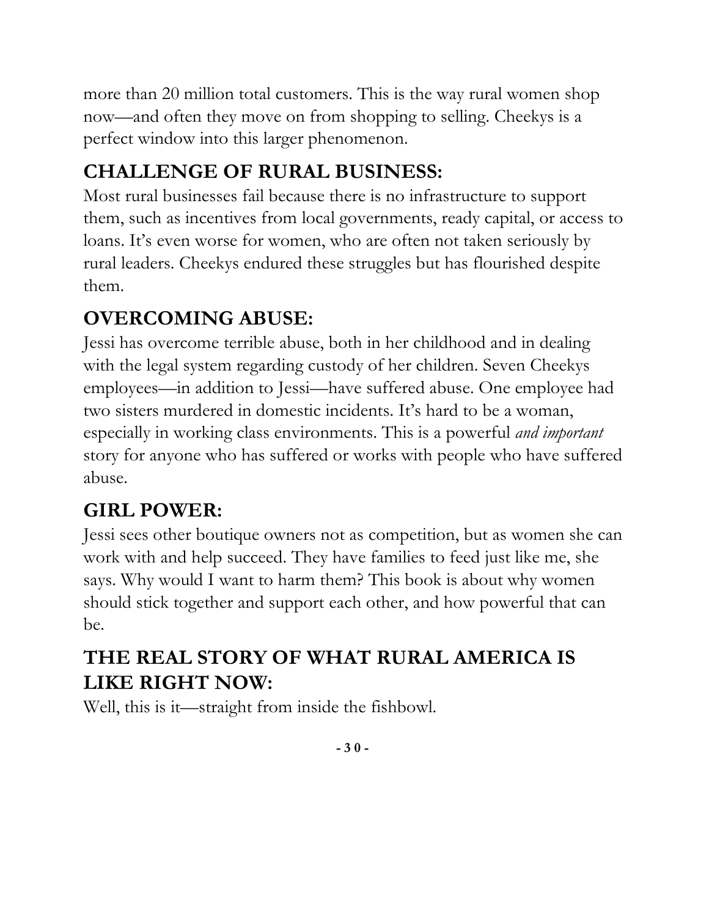more than 20 million total customers. This is the way rural women shop now—and often they move on from shopping to selling. Cheekys is a perfect window into this larger phenomenon.

# **CHALLENGE OF RURAL BUSINESS:**

Most rural businesses fail because there is no infrastructure to support them, such as incentives from local governments, ready capital, or access to loans. It's even worse for women, who are often not taken seriously by rural leaders. Cheekys endured these struggles but has flourished despite them.

#### **OVERCOMING ABUSE:**

Jessi has overcome terrible abuse, both in her childhood and in dealing with the legal system regarding custody of her children. Seven Cheekys employees—in addition to Jessi—have suffered abuse. One employee had two sisters murdered in domestic incidents. It's hard to be a woman, especially in working class environments. This is a powerful *and important* story for anyone who has suffered or works with people who have suffered abuse.

## **GIRL POWER:**

Jessi sees other boutique owners not as competition, but as women she can work with and help succeed. They have families to feed just like me, she says. Why would I want to harm them? This book is about why women should stick together and support each other, and how powerful that can be.

#### **THE REAL STORY OF WHAT RURAL AMERICA IS LIKE RIGHT NOW:**

Well, this is it—straight from inside the fishbowl.